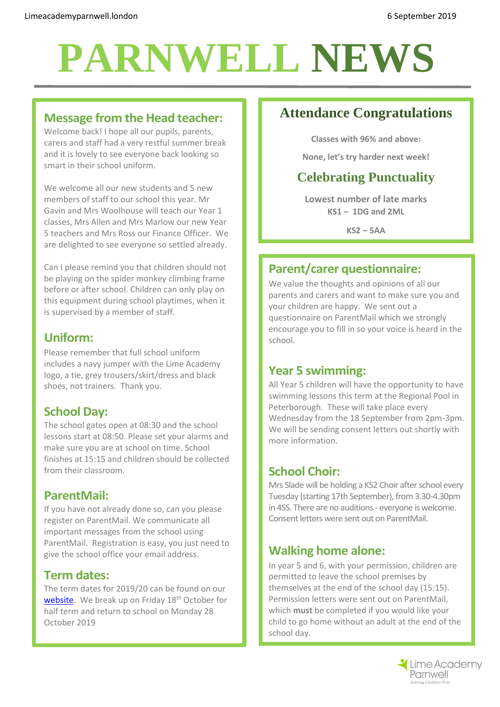# **PARNWELL NEWS**

## **Message from the Head teacher:**

Welcome back! I hope all our pupils, parents, carers and staff had a very restful summer break and it is lovely to see everyone back looking so smart in their school uniform.

We welcome all our new students and 5 new members of staff to our school this year. Mr Gavin and Mrs Woolhouse will teach our Year 1 classes, Mrs Allen and Mrs Marlow our new Year 5 teachers and Mrs Ross our Finance Officer. We are delighted to see everyone so settled already.

Can I please remind you that children should not be playing on the spider monkey climbing frame before or after school. Children can only play on this equipment during school playtimes, when it is supervised by a member of staff.

## **Uniform:**

Please remember that full school uniform includes a navy jumper with the Lime Academy logo, a tie, grey trousers/skirt/dress and black shoes, not trainers. Thank you.

# **School Day:**

The school gates open at 08:30 and the school lessons start at 08:50. Please set your alarms and make sure you are at school on time. School finishes at 15:15 and children should be collected from their classroom.

# **ParentMail:**

If you have not already done so, can you please register on ParentMail. We communicate all important messages from the school using ParentMail. Registration is easy, you just need to give the school office your email address.

## **Term dates:**

The term dates for 2019/20 can be found on our [website.](http://limeacademyparnwell.london/useful-information/2019-2020-term-dates/) We break up on Friday 18<sup>th</sup> October for half term and return to school on Monday 28 October 2019

# **Attendance Congratulations**

**Classes with 96% and above:**

**None, let's try harder next week!**

# **Celebrating Punctuality**

**Lowest number of late marks KS1 – 1DG and 2ML**

**KS2 – 5AA**

# **Parent/carer questionnaire:**

We value the thoughts and opinions of all our parents and carers and want to make sure you and your children are happy. We sent out a questionnaire on ParentMail which we strongly encourage you to fill in so your voice is heard in the school.

#### **Year 5 swimming:**

All Year 5 children will have the opportunity to have swimming lessons this term at the Regional Pool in Peterborough. These will take place every Wednesday from the 18 September from 2pm-3pm. We will be sending consent letters out shortly with more information.

## **School Choir:**

Mrs Slade will be holding a KS2 Choir after school every Tuesday (starting 17th September), from 3.30-4.30pm in 4SS. There are no auditions - everyone is welcome. Consent letters were sent out on ParentMail.

# **Walking home alone:**

In year 5 and 6, with your permission, children are permitted to leave the school premises by themselves at the end of the school day (15:15). Permission letters were sent out on ParentMail, which **must** be completed if you would like your child to go home without an adult at the end of the school day.